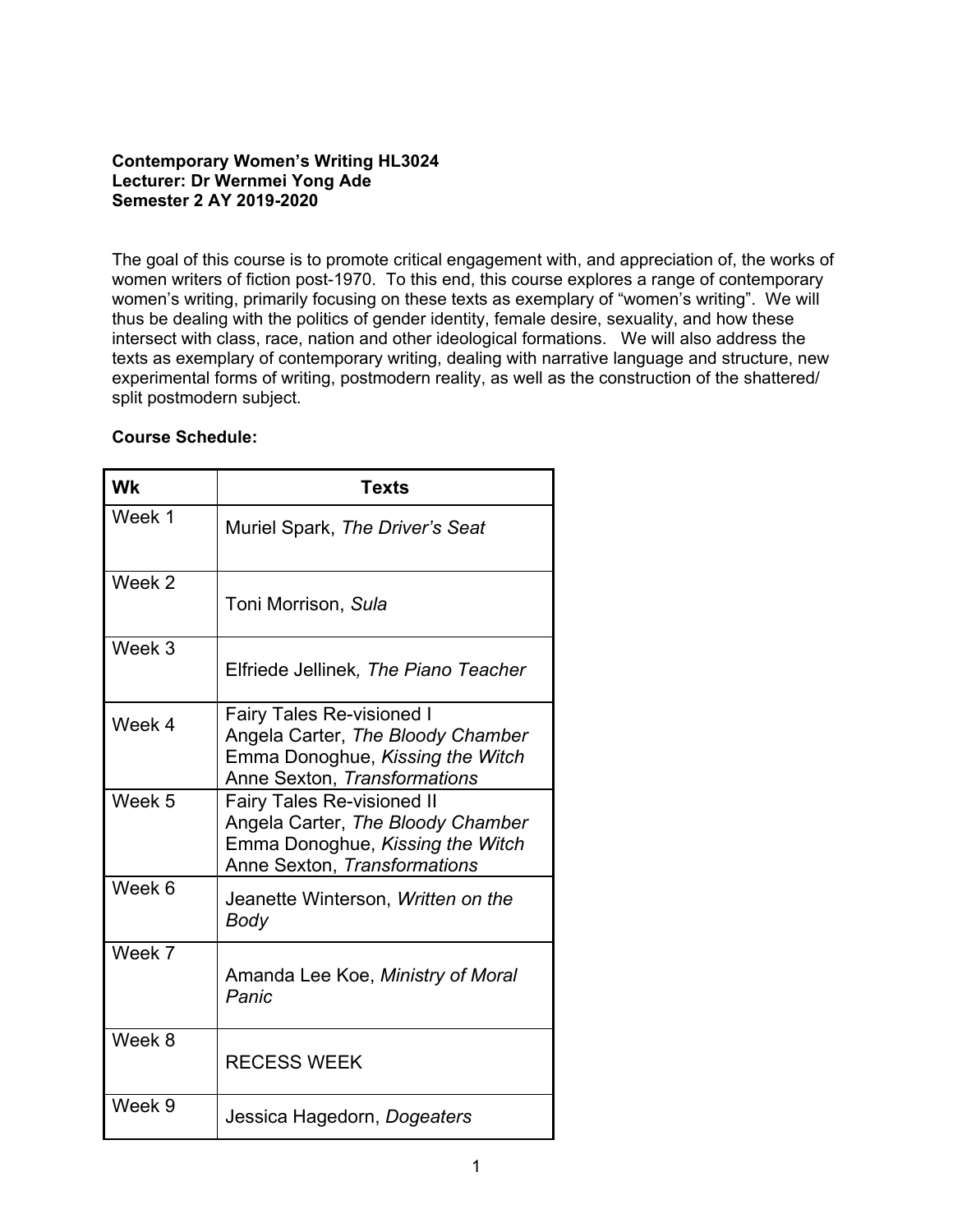# **Contemporary Women's Writing HL3024 Lecturer: Dr Wernmei Yong Ade Semester 2 AY 2019-2020**

The goal of this course is to promote critical engagement with, and appreciation of, the works of women writers of fiction post-1970. To this end, this course explores a range of contemporary women's writing, primarily focusing on these texts as exemplary of "women's writing". We will thus be dealing with the politics of gender identity, female desire, sexuality, and how these intersect with class, race, nation and other ideological formations. We will also address the texts as exemplary of contemporary writing, dealing with narrative language and structure, new experimental forms of writing, postmodern reality, as well as the construction of the shattered/ split postmodern subject.

### **Course Schedule:**

| <b>Wk</b> | <b>Texts</b>                                                                                                                               |
|-----------|--------------------------------------------------------------------------------------------------------------------------------------------|
| Week 1    | Muriel Spark, The Driver's Seat                                                                                                            |
| Week 2    | Toni Morrison, Sula                                                                                                                        |
| Week 3    | Elfriede Jellinek, The Piano Teacher                                                                                                       |
| Week 4    | <b>Fairy Tales Re-visioned I</b><br>Angela Carter, The Bloody Chamber<br>Emma Donoghue, Kissing the Witch<br>Anne Sexton, Transformations  |
| Week 5    | <b>Fairy Tales Re-visioned II</b><br>Angela Carter, The Bloody Chamber<br>Emma Donoghue, Kissing the Witch<br>Anne Sexton, Transformations |
| Week 6    | Jeanette Winterson, Written on the<br>Body                                                                                                 |
| Week 7    | Amanda Lee Koe, Ministry of Moral<br>Panic                                                                                                 |
| Week 8    | <b>RECESS WEEK</b>                                                                                                                         |
| Week 9    | Jessica Hagedorn, Dogeaters                                                                                                                |